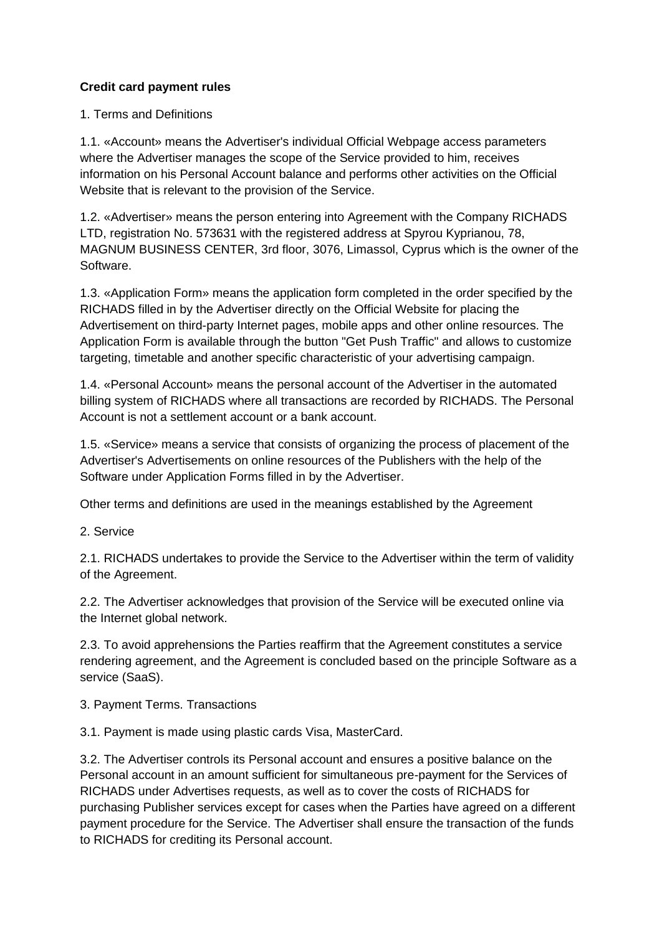## **Credit card payment rules**

1. Terms and Definitions

1.1. «Account» means the Advertiser's individual Official Webpage access parameters where the Advertiser manages the scope of the Service provided to him, receives information on his Personal Account balance and performs other activities on the Official Website that is relevant to the provision of the Service.

1.2. «Advertiser» means the person entering into Agreement with the Company RICHADS LTD, registration No. 573631 with the registered address at Spyrou Kyprianou, 78, MAGNUM BUSINESS CENTER, 3rd floor, 3076, Limassol, Cyprus which is the owner of the Software.

1.3. «Application Form» means the application form completed in the order specified by the RICHADS filled in by the Advertiser directly on the Official Website for placing the Advertisement on third-party Internet pages, mobile apps and other online resources. The Application Form is available through the button "Get Push Traffic" and allows to customize targeting, timetable and another specific characteristic of your advertising campaign.

1.4. «Personal Account» means the personal account of the Advertiser in the automated billing system of RICHADS where all transactions are recorded by RICHADS. The Personal Account is not a settlement account or a bank account.

1.5. «Service» means a service that consists of organizing the process of placement of the Advertiser's Advertisements on online resources of the Publishers with the help of the Software under Application Forms filled in by the Advertiser.

Other terms and definitions are used in the meanings established by the Agreement

2. Service

2.1. RICHADS undertakes to provide the Service to the Advertiser within the term of validity of the Agreement.

2.2. The Advertiser acknowledges that provision of the Service will be executed online via the Internet global network.

2.3. To avoid apprehensions the Parties reaffirm that the Agreement constitutes a service rendering agreement, and the Agreement is concluded based on the principle Software as a service (SaaS).

3. Payment Terms. Transactions

3.1. Payment is made using plastic cards Visa, MasterCard.

3.2. The Advertiser controls its Personal account and ensures a positive balance on the Personal account in an amount sufficient for simultaneous pre-payment for the Services of RICHADS under Advertises requests, as well as to cover the costs of RICHADS for purchasing Publisher services except for cases when the Parties have agreed on a different payment procedure for the Service. The Advertiser shall ensure the transaction of the funds to RICHADS for crediting its Personal account.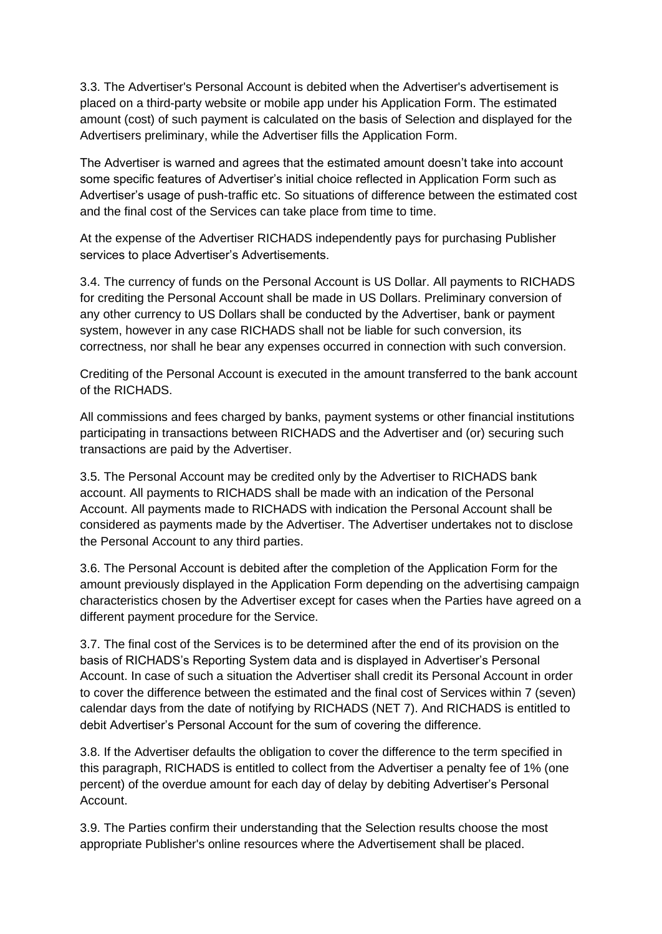3.3. The Advertiser's Personal Account is debited when the Advertiser's advertisement is placed on a third-party website or mobile app under his Application Form. The estimated amount (cost) of such payment is calculated on the basis of Selection and displayed for the Advertisers preliminary, while the Advertiser fills the Application Form.

The Advertiser is warned and agrees that the estimated amount doesn't take into account some specific features of Advertiser's initial choice reflected in Application Form such as Advertiser's usage of push-traffic etc. So situations of difference between the estimated cost and the final cost of the Services can take place from time to time.

At the expense of the Advertiser RICHADS independently pays for purchasing Publisher services to place Advertiser's Advertisements.

3.4. The currency of funds on the Personal Account is US Dollar. All payments to RICHADS for crediting the Personal Account shall be made in US Dollars. Preliminary conversion of any other currency to US Dollars shall be conducted by the Advertiser, bank or payment system, however in any case RICHADS shall not be liable for such conversion, its correctness, nor shall he bear any expenses occurred in connection with such conversion.

Crediting of the Personal Account is executed in the amount transferred to the bank account of the RICHADS.

All commissions and fees charged by banks, payment systems or other financial institutions participating in transactions between RICHADS and the Advertiser and (or) securing such transactions are paid by the Advertiser.

3.5. The Personal Account may be credited only by the Advertiser to RICHADS bank account. All payments to RICHADS shall be made with an indication of the Personal Account. All payments made to RICHADS with indication the Personal Account shall be considered as payments made by the Advertiser. The Advertiser undertakes not to disclose the Personal Account to any third parties.

3.6. The Personal Account is debited after the completion of the Application Form for the amount previously displayed in the Application Form depending on the advertising campaign characteristics chosen by the Advertiser except for cases when the Parties have agreed on a different payment procedure for the Service.

3.7. The final cost of the Services is to be determined after the end of its provision on the basis of RICHADS's Reporting System data and is displayed in Advertiser's Personal Account. In case of such a situation the Advertiser shall credit its Personal Account in order to cover the difference between the estimated and the final cost of Services within 7 (seven) calendar days from the date of notifying by RICHADS (NET 7). And RICHADS is entitled to debit Advertiser's Personal Account for the sum of covering the difference.

3.8. If the Advertiser defaults the obligation to cover the difference to the term specified in this paragraph, RICHADS is entitled to collect from the Advertiser a penalty fee of 1% (one percent) of the overdue amount for each day of delay by debiting Advertiser's Personal Account.

3.9. The Parties confirm their understanding that the Selection results choose the most appropriate Publisher's online resources where the Advertisement shall be placed.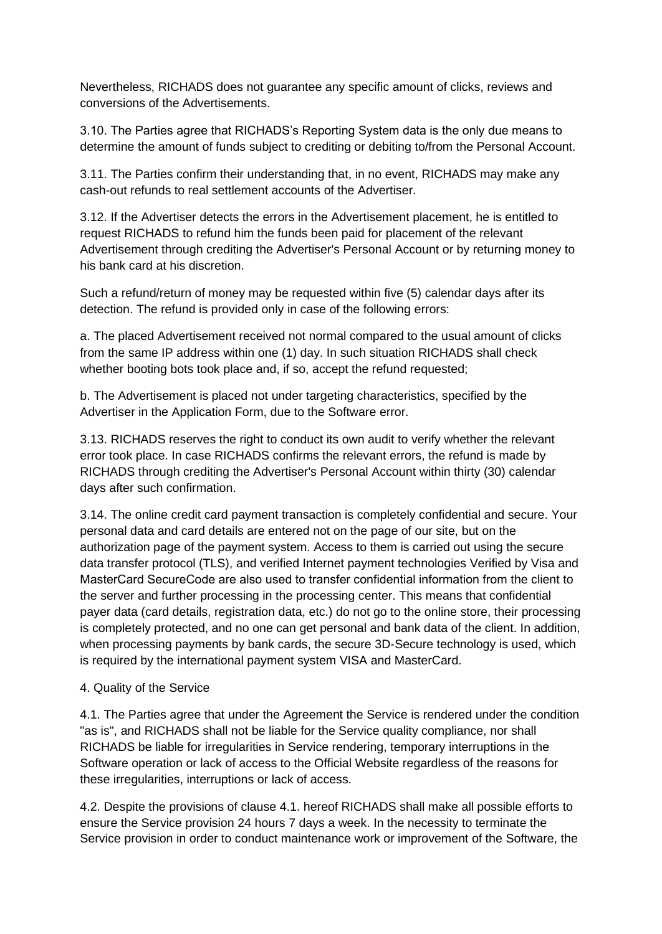Nevertheless, RICHADS does not guarantee any specific amount of clicks, reviews and conversions of the Advertisements.

3.10. The Parties agree that RICHADS's Reporting System data is the only due means to determine the amount of funds subject to crediting or debiting to/from the Personal Account.

3.11. The Parties confirm their understanding that, in no event, RICHADS may make any cash-out refunds to real settlement accounts of the Advertiser.

3.12. If the Advertiser detects the errors in the Advertisement placement, he is entitled to request RICHADS to refund him the funds been paid for placement of the relevant Advertisement through crediting the Advertiser's Personal Account or by returning money to his bank card at his discretion.

Such a refund/return of money may be requested within five (5) calendar days after its detection. The refund is provided only in case of the following errors:

a. The placed Advertisement received not normal compared to the usual amount of clicks from the same IP address within one (1) day. In such situation RICHADS shall check whether booting bots took place and, if so, accept the refund requested;

b. The Advertisement is placed not under targeting characteristics, specified by the Advertiser in the Application Form, due to the Software error.

3.13. RICHADS reserves the right to conduct its own audit to verify whether the relevant error took place. In case RICHADS confirms the relevant errors, the refund is made by RICHADS through crediting the Advertiser's Personal Account within thirty (30) calendar days after such confirmation.

3.14. The online credit card payment transaction is completely confidential and secure. Your personal data and card details are entered not on the page of our site, but on the authorization page of the payment system. Access to them is carried out using the secure data transfer protocol (TLS), and verified Internet payment technologies Verified by Visa and MasterCard SecureСode are also used to transfer confidential information from the client to the server and further processing in the processing center. This means that confidential payer data (card details, registration data, etc.) do not go to the online store, their processing is completely protected, and no one can get personal and bank data of the client. In addition, when processing payments by bank cards, the secure 3D-Secure technology is used, which is required by the international payment system VISA and MasterCard.

## 4. Quality of the Service

4.1. The Parties agree that under the Agreement the Service is rendered under the condition "as is", and RICHADS shall not be liable for the Service quality compliance, nor shall RICHADS be liable for irregularities in Service rendering, temporary interruptions in the Software operation or lack of access to the Official Website regardless of the reasons for these irregularities, interruptions or lack of access.

4.2. Despite the provisions of clause 4.1. hereof RICHADS shall make all possible efforts to ensure the Service provision 24 hours 7 days a week. In the necessity to terminate the Service provision in order to conduct maintenance work or improvement of the Software, the